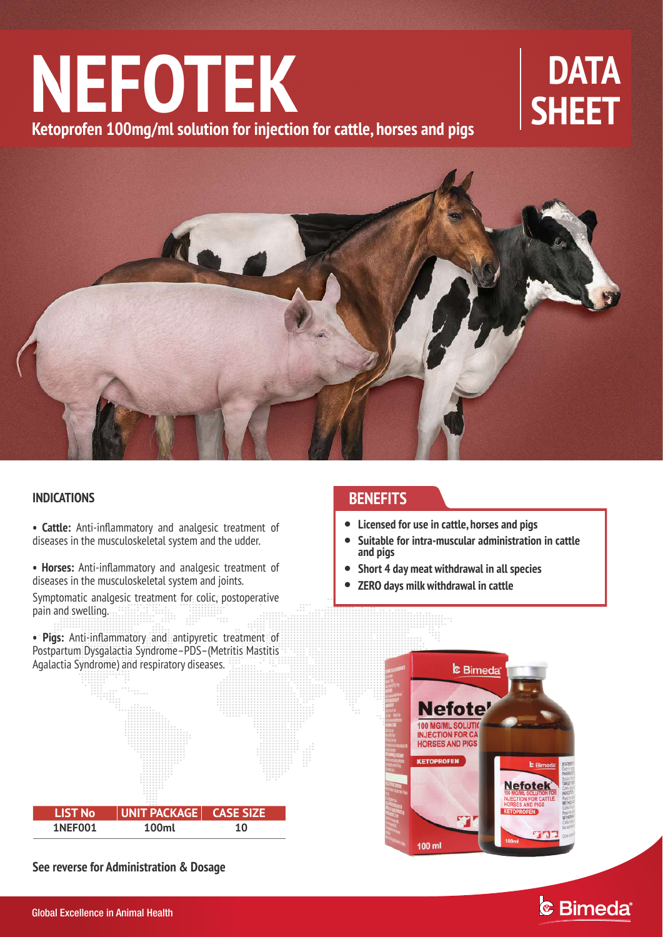# NEFOTEK BATA **Ketoprofen 100mg/ml solution for injection for cattle, horses and pigs**



### **INDICATIONS**

**• Cattle:** Anti-inflammatory and analgesic treatment of diseases in the musculoskeletal system and the udder.

**• Horses:** Anti-inflammatory and analgesic treatment of diseases in the musculoskeletal system and joints.

Symptomatic analgesic treatment for colic, postoperative pain and swelling. nin.<br>Milit

**• Pigs:** Anti-inflammatory and antipyretic treatment of Postpartum Dysgalactia Syndrome–PDS–(Metritis Mastitis Agalactia Syndrome) and respiratory diseases.



**See reverse for Administration & Dosage**

## **BENEFITS**

- **Licensed for use in cattle, horses and pigs**
- $\bullet$ **Suitable for intra-muscular administration in cattle and pigs**
- $\bullet$ **Short 4 day meat withdrawal in all species**
- $\bullet$ **ZERO days milk withdrawal in cattle**